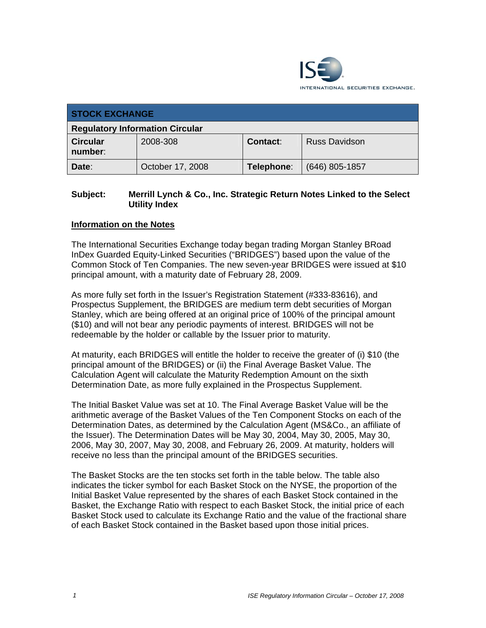

| <b>STOCK EXCHANGE</b>                  |                  |            |                      |  |  |  |
|----------------------------------------|------------------|------------|----------------------|--|--|--|
| <b>Regulatory Information Circular</b> |                  |            |                      |  |  |  |
| <b>Circular</b><br>number:             | 2008-308         | Contact:   | <b>Russ Davidson</b> |  |  |  |
| Date:                                  | October 17, 2008 | Telephone: | $(646)$ 805-1857     |  |  |  |

## **Subject: Merrill Lynch & Co., Inc. Strategic Return Notes Linked to the Select Utility Index**

## **Information on the Notes**

The International Securities Exchange today began trading Morgan Stanley BRoad InDex Guarded Equity-Linked Securities ("BRIDGES") based upon the value of the Common Stock of Ten Companies. The new seven-year BRIDGES were issued at \$10 principal amount, with a maturity date of February 28, 2009.

As more fully set forth in the Issuer's Registration Statement (#333-83616), and Prospectus Supplement, the BRIDGES are medium term debt securities of Morgan Stanley, which are being offered at an original price of 100% of the principal amount (\$10) and will not bear any periodic payments of interest. BRIDGES will not be redeemable by the holder or callable by the Issuer prior to maturity.

At maturity, each BRIDGES will entitle the holder to receive the greater of (i) \$10 (the principal amount of the BRIDGES) or (ii) the Final Average Basket Value. The Calculation Agent will calculate the Maturity Redemption Amount on the sixth Determination Date, as more fully explained in the Prospectus Supplement.

The Initial Basket Value was set at 10. The Final Average Basket Value will be the arithmetic average of the Basket Values of the Ten Component Stocks on each of the Determination Dates, as determined by the Calculation Agent (MS&Co., an affiliate of the Issuer). The Determination Dates will be May 30, 2004, May 30, 2005, May 30, 2006, May 30, 2007, May 30, 2008, and February 26, 2009. At maturity, holders will receive no less than the principal amount of the BRIDGES securities.

The Basket Stocks are the ten stocks set forth in the table below. The table also indicates the ticker symbol for each Basket Stock on the NYSE, the proportion of the Initial Basket Value represented by the shares of each Basket Stock contained in the Basket, the Exchange Ratio with respect to each Basket Stock, the initial price of each Basket Stock used to calculate its Exchange Ratio and the value of the fractional share of each Basket Stock contained in the Basket based upon those initial prices.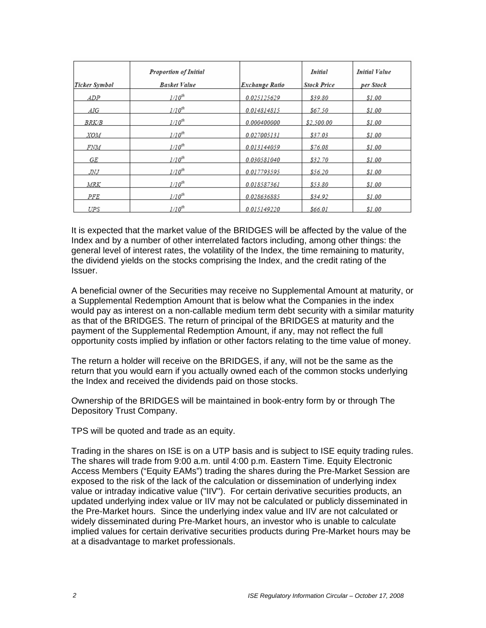| <b>Ticker Symbol</b> | <b>Proportion of Initial</b><br><b>Basket Value</b> | Exchange Ratio | Initial<br><b>Stock Price</b> | <b>Initial Value</b><br>per Stock |
|----------------------|-----------------------------------------------------|----------------|-------------------------------|-----------------------------------|
|                      |                                                     |                |                               |                                   |
| ADP                  | $1/10^{th}$                                         | 0.025125629    | \$39.80                       | \$1.00                            |
| AIG                  | $1/10^{th}$                                         | 0.014814815    | \$67.50                       | \$1.00                            |
| <i>BRK/B</i>         | $1/10^{th}$                                         | 0.000400000    | \$2,500.00                    | \$1.00                            |
| <i>XOM</i>           | $1/10^{th}$                                         | 0.027005131    | \$37.03                       | \$1.00                            |
| <i>FNM</i>           | $1/10^{th}$                                         | 0.013144059    | \$76.08                       | \$1.00                            |
| GE                   | $1/10^{th}$                                         | 0.030581040    | \$32.70                       | \$1.00                            |
| JNJ                  | $1/10^{th}$                                         | 0.017793595    | \$56.20                       | \$1.00                            |
| MRK                  | $1/10^{th}$                                         | 0.018587361    | \$53.80                       | \$1.00                            |
| PFE                  | $1/10^{th}$                                         | 0.028636885    | \$34.92                       | \$1.00                            |
| UPS                  | $1/10^{th}$                                         | 0.015149220    | <i><b>\$66.01</b></i>         | \$1.00                            |

It is expected that the market value of the BRIDGES will be affected by the value of the Index and by a number of other interrelated factors including, among other things: the general level of interest rates, the volatility of the Index, the time remaining to maturity, the dividend yields on the stocks comprising the Index, and the credit rating of the Issuer.

A beneficial owner of the Securities may receive no Supplemental Amount at maturity, or a Supplemental Redemption Amount that is below what the Companies in the index would pay as interest on a non-callable medium term debt security with a similar maturity as that of the BRIDGES. The return of principal of the BRIDGES at maturity and the payment of the Supplemental Redemption Amount, if any, may not reflect the full opportunity costs implied by inflation or other factors relating to the time value of money.

The return a holder will receive on the BRIDGES, if any, will not be the same as the return that you would earn if you actually owned each of the common stocks underlying the Index and received the dividends paid on those stocks.

Ownership of the BRIDGES will be maintained in book-entry form by or through The Depository Trust Company.

TPS will be quoted and trade as an equity.

Trading in the shares on ISE is on a UTP basis and is subject to ISE equity trading rules. The shares will trade from 9:00 a.m. until 4:00 p.m. Eastern Time. Equity Electronic Access Members ("Equity EAMs") trading the shares during the Pre-Market Session are exposed to the risk of the lack of the calculation or dissemination of underlying index value or intraday indicative value ("IIV"). For certain derivative securities products, an updated underlying index value or IIV may not be calculated or publicly disseminated in the Pre-Market hours. Since the underlying index value and IIV are not calculated or widely disseminated during Pre-Market hours, an investor who is unable to calculate implied values for certain derivative securities products during Pre-Market hours may be at a disadvantage to market professionals.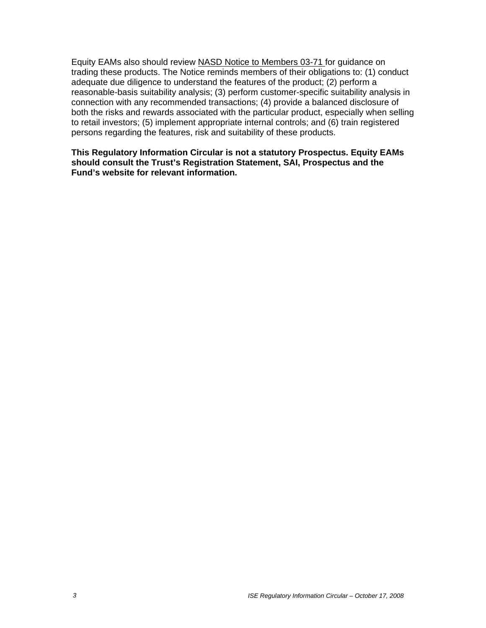Equity EAMs also should review NASD Notice to Members 03-71 for guidance on trading these products. The Notice reminds members of their obligations to: (1) conduct adequate due diligence to understand the features of the product; (2) perform a reasonable-basis suitability analysis; (3) perform customer-specific suitability analysis in connection with any recommended transactions; (4) provide a balanced disclosure of both the risks and rewards associated with the particular product, especially when selling to retail investors; (5) implement appropriate internal controls; and (6) train registered persons regarding the features, risk and suitability of these products.

**This Regulatory Information Circular is not a statutory Prospectus. Equity EAMs should consult the Trust's Registration Statement, SAI, Prospectus and the Fund's website for relevant information.**